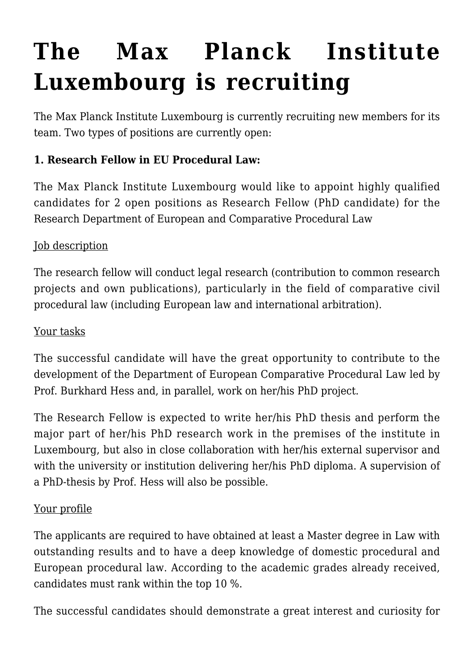# **[The Max Planck Institute](https://conflictoflaws.net/2016/the-max-planck-institute-luxembourg-is-recruiting/) [Luxembourg is recruiting](https://conflictoflaws.net/2016/the-max-planck-institute-luxembourg-is-recruiting/)**

The Max Planck Institute Luxembourg is currently recruiting new members for its team. Two types of positions are currently open:

# **1. Research Fellow in EU Procedural Law:**

The Max Planck Institute Luxembourg would like to appoint highly qualified candidates for 2 open positions as Research Fellow (PhD candidate) for the Research Department of European and Comparative Procedural Law

# Job description

The research fellow will conduct legal research (contribution to common research projects and own publications), particularly in the field of comparative civil procedural law (including European law and international arbitration).

#### Your tasks

The successful candidate will have the great opportunity to contribute to the development of the Department of European Comparative Procedural Law led by Prof. Burkhard Hess and, in parallel, work on her/his PhD project.

The Research Fellow is expected to write her/his PhD thesis and perform the major part of her/his PhD research work in the premises of the institute in Luxembourg, but also in close collaboration with her/his external supervisor and with the university or institution delivering her/his PhD diploma. A supervision of a PhD-thesis by Prof. Hess will also be possible.

## Your profile

The applicants are required to have obtained at least a Master degree in Law with outstanding results and to have a deep knowledge of domestic procedural and European procedural law. According to the academic grades already received, candidates must rank within the top 10 %.

The successful candidates should demonstrate a great interest and curiosity for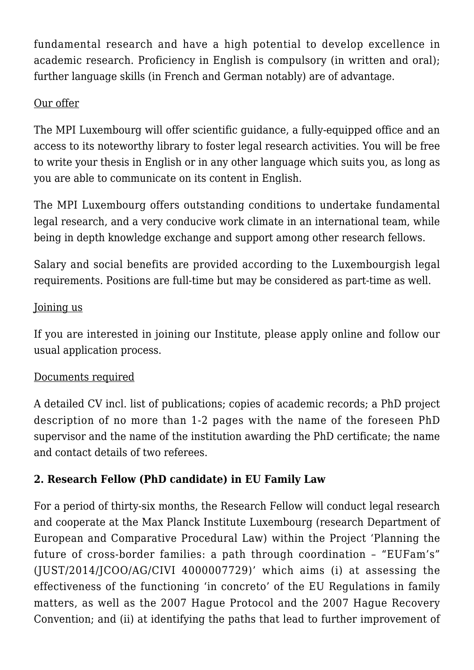fundamental research and have a high potential to develop excellence in academic research. Proficiency in English is compulsory (in written and oral); further language skills (in French and German notably) are of advantage.

## Our offer

The MPI Luxembourg will offer scientific guidance, a fully-equipped office and an access to its noteworthy library to foster legal research activities. You will be free to write your thesis in English or in any other language which suits you, as long as you are able to communicate on its content in English.

The MPI Luxembourg offers outstanding conditions to undertake fundamental legal research, and a very conducive work climate in an international team, while being in depth knowledge exchange and support among other research fellows.

Salary and social benefits are provided according to the Luxembourgish legal requirements. Positions are full-time but may be considered as part-time as well.

## Joining us

If you are interested in joining our Institute, please apply online and follow our usual application process.

#### Documents required

A detailed CV incl. list of publications; copies of academic records; a PhD project description of no more than 1-2 pages with the name of the foreseen PhD supervisor and the name of the institution awarding the PhD certificate; the name and contact details of two referees.

## **2. Research Fellow (PhD candidate) in EU Family Law**

For a period of thirty-six months, the Research Fellow will conduct legal research and cooperate at the Max Planck Institute Luxembourg (research Department of European and Comparative Procedural Law) within the Project 'Planning the future of cross-border families: a path through coordination – "EUFam's" (JUST/2014/JCOO/AG/CIVI 4000007729)' which aims (i) at assessing the effectiveness of the functioning 'in concreto' of the EU Regulations in family matters, as well as the 2007 Hague Protocol and the 2007 Hague Recovery Convention; and (ii) at identifying the paths that lead to further improvement of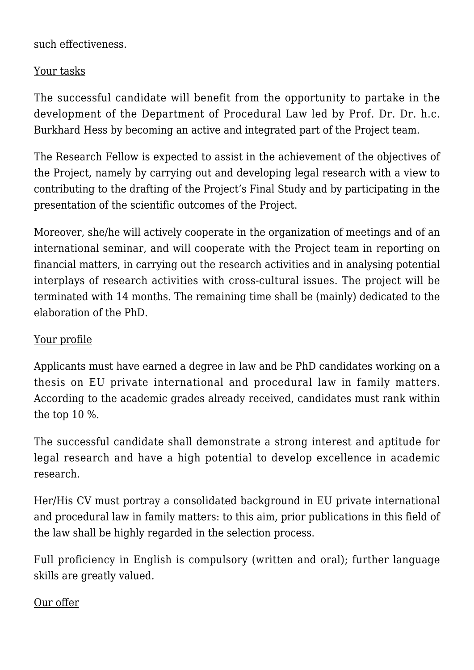such effectiveness.

# Your tasks

The successful candidate will benefit from the opportunity to partake in the development of the Department of Procedural Law led by Prof. Dr. Dr. h.c. Burkhard Hess by becoming an active and integrated part of the Project team.

The Research Fellow is expected to assist in the achievement of the objectives of the Project, namely by carrying out and developing legal research with a view to contributing to the drafting of the Project's Final Study and by participating in the presentation of the scientific outcomes of the Project.

Moreover, she/he will actively cooperate in the organization of meetings and of an international seminar, and will cooperate with the Project team in reporting on financial matters, in carrying out the research activities and in analysing potential interplays of research activities with cross-cultural issues. The project will be terminated with 14 months. The remaining time shall be (mainly) dedicated to the elaboration of the PhD.

# Your profile

Applicants must have earned a degree in law and be PhD candidates working on a thesis on EU private international and procedural law in family matters. According to the academic grades already received, candidates must rank within the top 10 %.

The successful candidate shall demonstrate a strong interest and aptitude for legal research and have a high potential to develop excellence in academic research.

Her/His CV must portray a consolidated background in EU private international and procedural law in family matters: to this aim, prior publications in this field of the law shall be highly regarded in the selection process.

Full proficiency in English is compulsory (written and oral); further language skills are greatly valued.

## Our offer